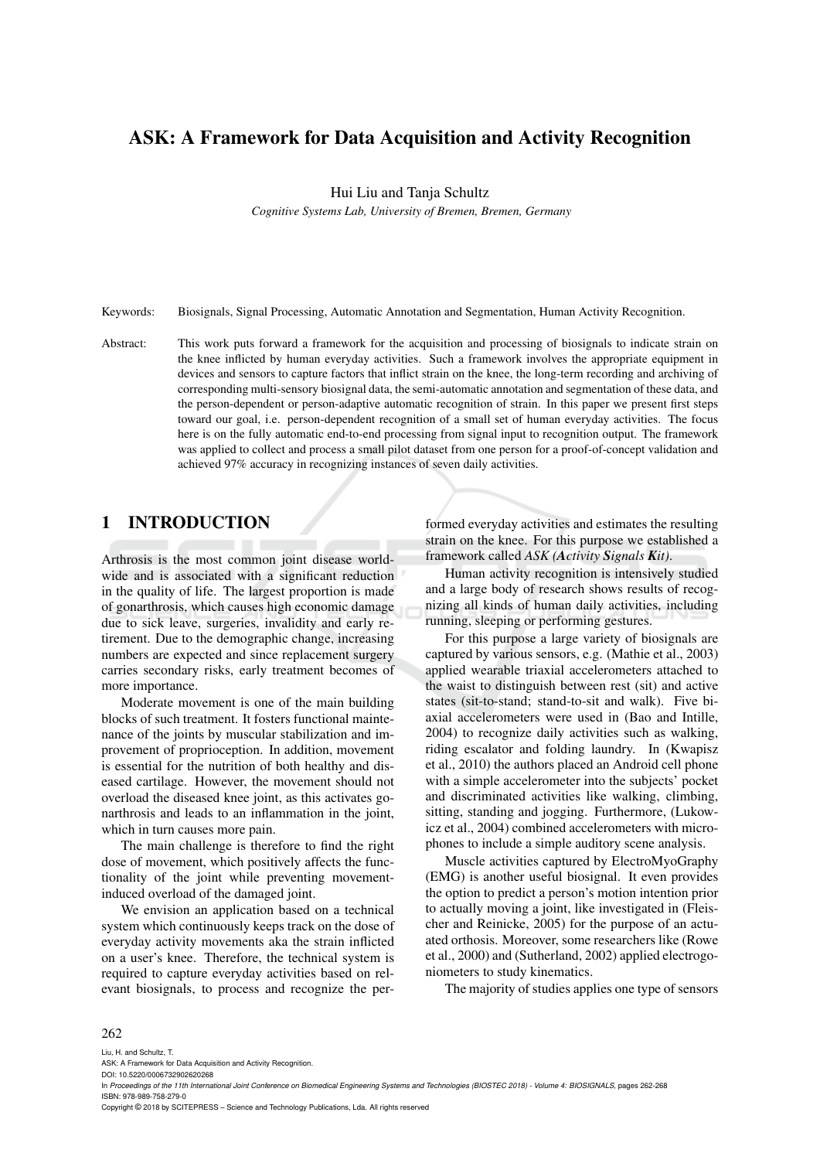# ASK: A Framework for Data Acquisition and Activity Recognition

Hui Liu and Tanja Schultz

*Cognitive Systems Lab, University of Bremen, Bremen, Germany*

Keywords: Biosignals, Signal Processing, Automatic Annotation and Segmentation, Human Activity Recognition.

Abstract: This work puts forward a framework for the acquisition and processing of biosignals to indicate strain on the knee inflicted by human everyday activities. Such a framework involves the appropriate equipment in devices and sensors to capture factors that inflict strain on the knee, the long-term recording and archiving of corresponding multi-sensory biosignal data, the semi-automatic annotation and segmentation of these data, and the person-dependent or person-adaptive automatic recognition of strain. In this paper we present first steps toward our goal, i.e. person-dependent recognition of a small set of human everyday activities. The focus here is on the fully automatic end-to-end processing from signal input to recognition output. The framework was applied to collect and process a small pilot dataset from one person for a proof-of-concept validation and achieved 97% accuracy in recognizing instances of seven daily activities.

## 1 INTRODUCTION

Arthrosis is the most common joint disease worldwide and is associated with a significant reduction in the quality of life. The largest proportion is made of gonarthrosis, which causes high economic damage due to sick leave, surgeries, invalidity and early retirement. Due to the demographic change, increasing numbers are expected and since replacement surgery carries secondary risks, early treatment becomes of more importance.

Moderate movement is one of the main building blocks of such treatment. It fosters functional maintenance of the joints by muscular stabilization and improvement of proprioception. In addition, movement is essential for the nutrition of both healthy and diseased cartilage. However, the movement should not overload the diseased knee joint, as this activates gonarthrosis and leads to an inflammation in the joint, which in turn causes more pain.

The main challenge is therefore to find the right dose of movement, which positively affects the functionality of the joint while preventing movementinduced overload of the damaged joint.

We envision an application based on a technical system which continuously keeps track on the dose of everyday activity movements aka the strain inflicted on a user's knee. Therefore, the technical system is required to capture everyday activities based on relevant biosignals, to process and recognize the performed everyday activities and estimates the resulting strain on the knee. For this purpose we established a framework called *ASK (Activity Signals Kit)*.

Human activity recognition is intensively studied and a large body of research shows results of recognizing all kinds of human daily activities, including running, sleeping or performing gestures.

For this purpose a large variety of biosignals are captured by various sensors, e.g. (Mathie et al., 2003) applied wearable triaxial accelerometers attached to the waist to distinguish between rest (sit) and active states (sit-to-stand; stand-to-sit and walk). Five biaxial accelerometers were used in (Bao and Intille, 2004) to recognize daily activities such as walking, riding escalator and folding laundry. In (Kwapisz et al., 2010) the authors placed an Android cell phone with a simple accelerometer into the subjects' pocket and discriminated activities like walking, climbing, sitting, standing and jogging. Furthermore, (Lukowicz et al., 2004) combined accelerometers with microphones to include a simple auditory scene analysis.

Muscle activities captured by ElectroMyoGraphy (EMG) is another useful biosignal. It even provides the option to predict a person's motion intention prior to actually moving a joint, like investigated in (Fleischer and Reinicke, 2005) for the purpose of an actuated orthosis. Moreover, some researchers like (Rowe et al., 2000) and (Sutherland, 2002) applied electrogoniometers to study kinematics.

The majority of studies applies one type of sensors

#### 262

Liu, H. and Schultz, T.

ASK: A Framework for Data Acquisition and Activity Recognition. DOI: 10.5220/0006732902620268

Copyright © 2018 by SCITEPRESS – Science and Technology Publications, Lda. All rights reserved

In *Proceedings of the 11th International Joint Conference on Biomedical Engineering Systems and Technologies (BIOSTEC 2018) - Volume 4: BIOSIGNALS*, pages 262-268 ISBN: 978-989-758-279-0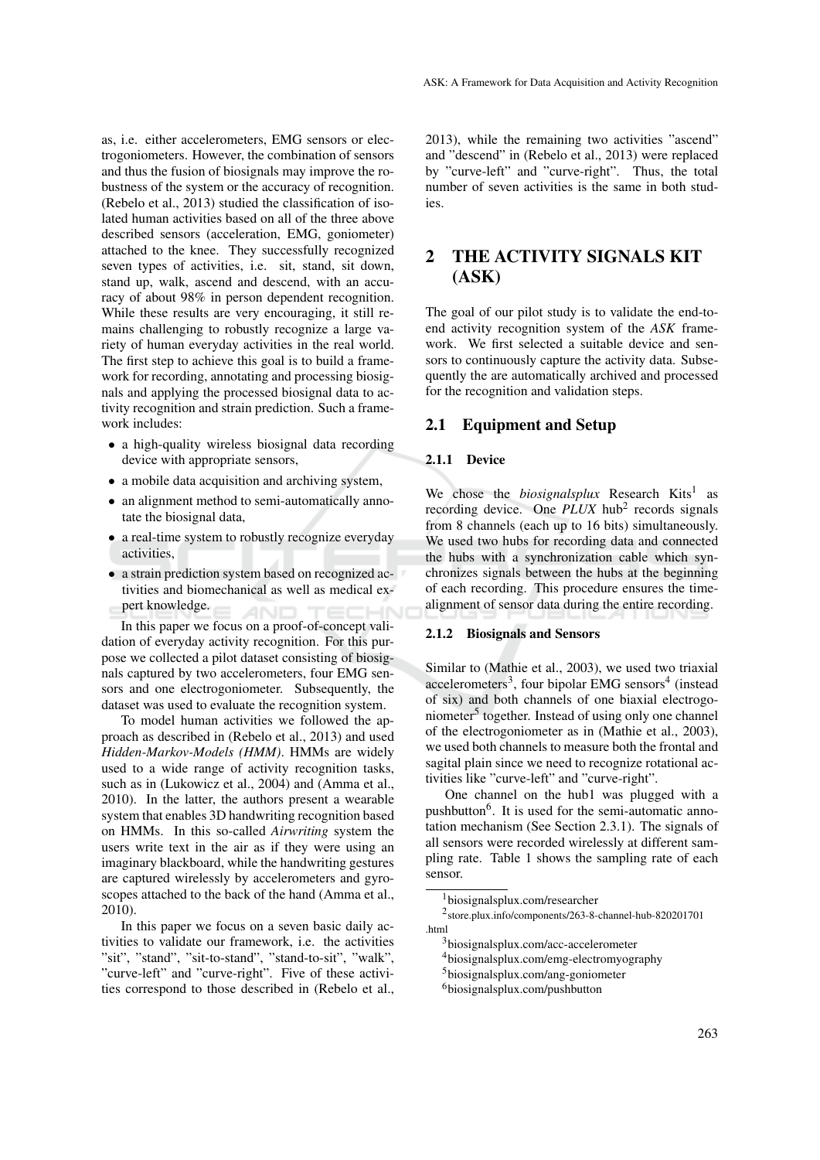as, i.e. either accelerometers, EMG sensors or electrogoniometers. However, the combination of sensors and thus the fusion of biosignals may improve the robustness of the system or the accuracy of recognition. (Rebelo et al., 2013) studied the classification of isolated human activities based on all of the three above described sensors (acceleration, EMG, goniometer) attached to the knee. They successfully recognized seven types of activities, i.e. sit, stand, sit down, stand up, walk, ascend and descend, with an accuracy of about 98% in person dependent recognition. While these results are very encouraging, it still remains challenging to robustly recognize a large variety of human everyday activities in the real world. The first step to achieve this goal is to build a framework for recording, annotating and processing biosignals and applying the processed biosignal data to activity recognition and strain prediction. Such a framework includes:

- a high-quality wireless biosignal data recording device with appropriate sensors,
- a mobile data acquisition and archiving system,
- an alignment method to semi-automatically annotate the biosignal data,
- a real-time system to robustly recognize everyday activities,
- a strain prediction system based on recognized activities and biomechanical as well as medical expert knowledge.

In this paper we focus on a proof-of-concept validation of everyday activity recognition. For this purpose we collected a pilot dataset consisting of biosignals captured by two accelerometers, four EMG sensors and one electrogoniometer. Subsequently, the dataset was used to evaluate the recognition system.

To model human activities we followed the approach as described in (Rebelo et al., 2013) and used *Hidden-Markov-Models (HMM)*. HMMs are widely used to a wide range of activity recognition tasks, such as in (Lukowicz et al., 2004) and (Amma et al., 2010). In the latter, the authors present a wearable system that enables 3D handwriting recognition based on HMMs. In this so-called *Airwriting* system the users write text in the air as if they were using an imaginary blackboard, while the handwriting gestures are captured wirelessly by accelerometers and gyroscopes attached to the back of the hand (Amma et al., 2010).

In this paper we focus on a seven basic daily activities to validate our framework, i.e. the activities "sit", "stand", "sit-to-stand", "stand-to-sit", "walk", "curve-left" and "curve-right". Five of these activities correspond to those described in (Rebelo et al., 2013), while the remaining two activities "ascend" and "descend" in (Rebelo et al., 2013) were replaced by "curve-left" and "curve-right". Thus, the total number of seven activities is the same in both studies.

# 2 THE ACTIVITY SIGNALS KIT (ASK)

The goal of our pilot study is to validate the end-toend activity recognition system of the *ASK* framework. We first selected a suitable device and sensors to continuously capture the activity data. Subsequently the are automatically archived and processed for the recognition and validation steps.

## 2.1 Equipment and Setup

## 2.1.1 Device

We chose the *biosignalsplux* Research Kits<sup>1</sup> as recording device. One PLUX hub<sup>2</sup> records signals from 8 channels (each up to 16 bits) simultaneously. We used two hubs for recording data and connected the hubs with a synchronization cable which synchronizes signals between the hubs at the beginning of each recording. This procedure ensures the timealignment of sensor data during the entire recording.

#### 2.1.2 Biosignals and Sensors

Similar to (Mathie et al., 2003), we used two triaxial accelerometers<sup>3</sup>, four bipolar EMG sensors<sup>4</sup> (instead of six) and both channels of one biaxial electrogoniometer<sup>5</sup> together. Instead of using only one channel of the electrogoniometer as in (Mathie et al., 2003), we used both channels to measure both the frontal and sagital plain since we need to recognize rotational activities like "curve-left" and "curve-right".

One channel on the hub1 was plugged with a pushbutton<sup>6</sup>. It is used for the semi-automatic annotation mechanism (See Section 2.3.1). The signals of all sensors were recorded wirelessly at different sampling rate. Table 1 shows the sampling rate of each sensor.

<sup>1</sup>biosignalsplux.com/researcher

<sup>2</sup> store.plux.info/components/263-8-channel-hub-820201701 .html

<sup>3</sup>biosignalsplux.com/acc-accelerometer

<sup>4</sup>biosignalsplux.com/emg-electromyography

<sup>5</sup>biosignalsplux.com/ang-goniometer

<sup>6</sup>biosignalsplux.com/pushbutton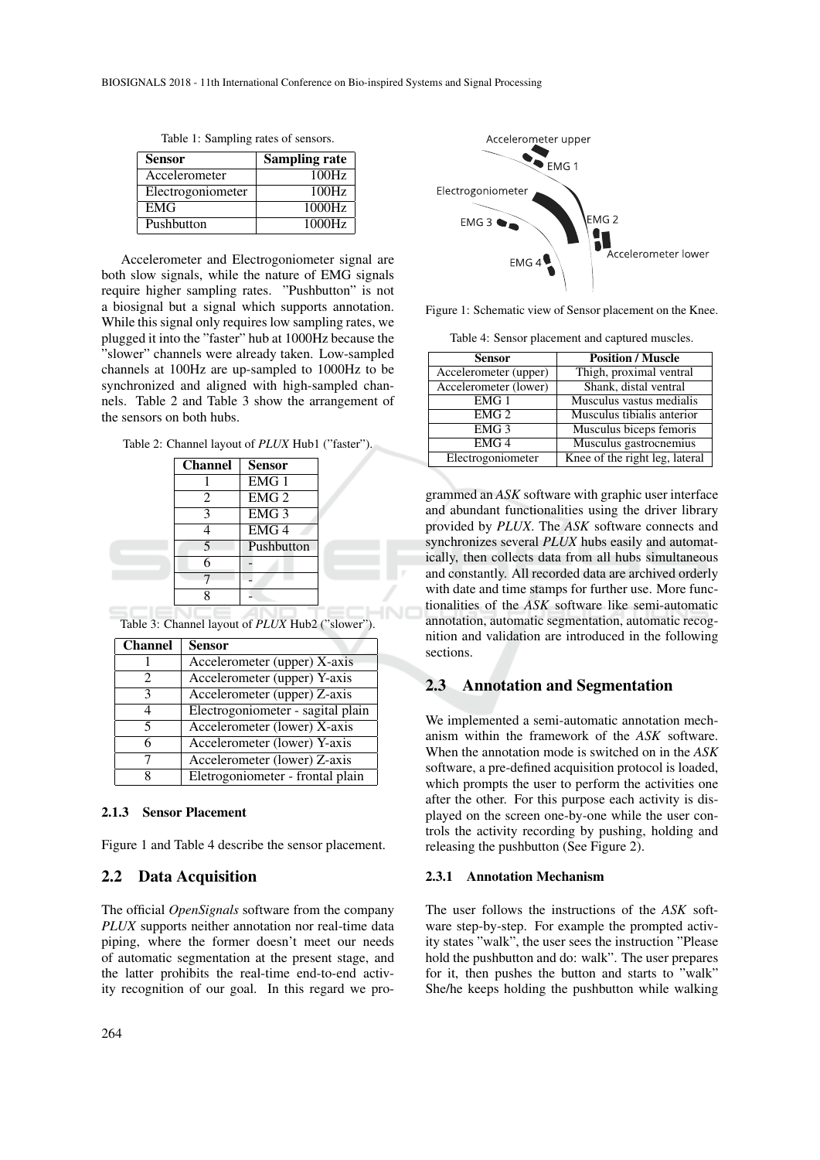| <b>Sensor</b>     | <b>Sampling rate</b> |
|-------------------|----------------------|
| Accelerometer     | 100Hz                |
| Electrogoniometer | 100Hz                |
| <b>EMG</b>        | 1000Hz               |
| Pushbutton        | 1000Hz               |

Table 1: Sampling rates of sensors.

Accelerometer and Electrogoniometer signal are both slow signals, while the nature of EMG signals require higher sampling rates. "Pushbutton" is not a biosignal but a signal which supports annotation. While this signal only requires low sampling rates, we plugged it into the "faster" hub at 1000Hz because the "slower" channels were already taken. Low-sampled channels at 100Hz are up-sampled to 1000Hz to be synchronized and aligned with high-sampled channels. Table 2 and Table 3 show the arrangement of the sensors on both hubs.

Table 2: Channel layout of *PLUX* Hub1 ("faster").

| <b>Channel</b>           | <b>Sensor</b>      |
|--------------------------|--------------------|
|                          | EMG <sub>1</sub>   |
| 2                        | $EMG$ <sup>2</sup> |
| 3                        | EMG <sub>3</sub>   |
|                          | EMG <sub>4</sub>   |
| $\overline{\mathcal{L}}$ | Pushbutton         |
| 6                        |                    |
|                          |                    |
|                          |                    |

Table 3: Channel layout of *PLUX* Hub2 ("slower").

| <b>Channel</b> | <b>Sensor</b>                     |
|----------------|-----------------------------------|
|                | Accelerometer (upper) X-axis      |
| 2              | Accelerometer (upper) Y-axis      |
| 3              | Accelerometer (upper) Z-axis      |
| 4              | Electrogoniometer - sagital plain |
| 5              | Accelerometer (lower) X-axis      |
| 6              | Accelerometer (lower) Y-axis      |
| 7              | Accelerometer (lower) Z-axis      |
| 8              | Eletrogoniometer - frontal plain  |

#### 2.1.3 Sensor Placement

Figure 1 and Table 4 describe the sensor placement.

### 2.2 Data Acquisition

The official *OpenSignals* software from the company *PLUX* supports neither annotation nor real-time data piping, where the former doesn't meet our needs of automatic segmentation at the present stage, and the latter prohibits the real-time end-to-end activity recognition of our goal. In this regard we pro-



Figure 1: Schematic view of Sensor placement on the Knee.

Table 4: Sensor placement and captured muscles.

| Sensor                | <b>Position / Muscle</b>       |
|-----------------------|--------------------------------|
| Accelerometer (upper) | Thigh, proximal ventral        |
| Accelerometer (lower) | Shank, distal ventral          |
| EMG <sub>1</sub>      | Musculus vastus medialis       |
| EMG <sub>2</sub>      | Musculus tibialis anterior     |
| EMG <sub>3</sub>      | Musculus biceps femoris        |
| EMG <sub>4</sub>      | Musculus gastrocnemius         |
| Electrogoniometer     | Knee of the right leg, lateral |
|                       |                                |

grammed an *ASK* software with graphic user interface and abundant functionalities using the driver library provided by *PLUX*. The *ASK* software connects and synchronizes several *PLUX* hubs easily and automatically, then collects data from all hubs simultaneous and constantly. All recorded data are archived orderly with date and time stamps for further use. More functionalities of the *ASK* software like semi-automatic annotation, automatic segmentation, automatic recognition and validation are introduced in the following sections.

### 2.3 Annotation and Segmentation

We implemented a semi-automatic annotation mechanism within the framework of the *ASK* software. When the annotation mode is switched on in the *ASK* software, a pre-defined acquisition protocol is loaded, which prompts the user to perform the activities one after the other. For this purpose each activity is displayed on the screen one-by-one while the user controls the activity recording by pushing, holding and releasing the pushbutton (See Figure 2).

#### 2.3.1 Annotation Mechanism

The user follows the instructions of the *ASK* software step-by-step. For example the prompted activity states "walk", the user sees the instruction "Please hold the pushbutton and do: walk". The user prepares for it, then pushes the button and starts to "walk" She/he keeps holding the pushbutton while walking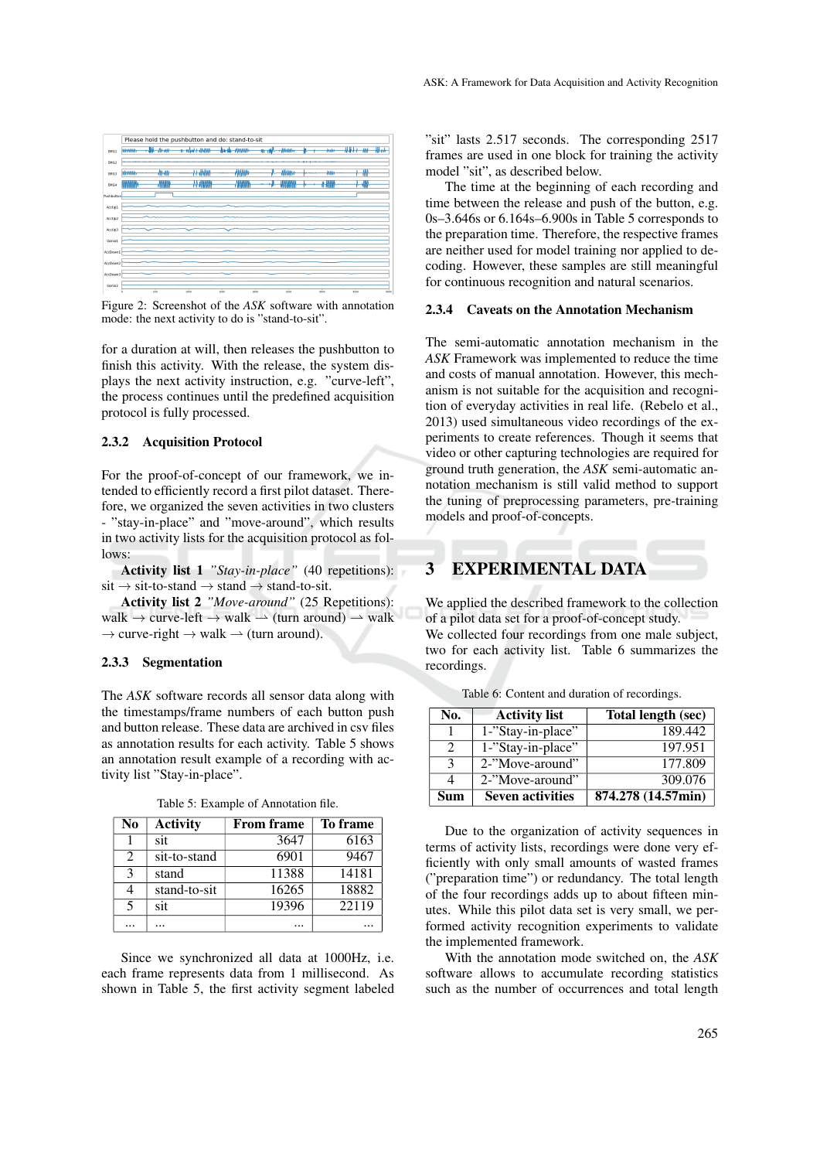

Figure 2: Screenshot of the *ASK* software with annotation mode: the next activity to do is "stand-to-sit".

for a duration at will, then releases the pushbutton to finish this activity. With the release, the system displays the next activity instruction, e.g. "curve-left", the process continues until the predefined acquisition protocol is fully processed.

#### 2.3.2 Acquisition Protocol

For the proof-of-concept of our framework, we intended to efficiently record a first pilot dataset. Therefore, we organized the seven activities in two clusters - "stay-in-place" and "move-around", which results in two activity lists for the acquisition protocol as follows:

Activity list 1 *"Stay-in-place"* (40 repetitions):  $sit \rightarrow sit-to-standard \rightarrow stand \rightarrow stand-to-sit.$ 

Activity list 2 *"Move-around"* (25 Repetitions): walk  $\rightarrow$  curve-left  $\rightarrow$  walk  $\rightarrow$  (turn around)  $\rightarrow$  walk  $\rightarrow$  curve-right  $\rightarrow$  walk  $\rightarrow$  (turn around).

#### 2.3.3 Segmentation

The *ASK* software records all sensor data along with the timestamps/frame numbers of each button push and button release. These data are archived in csv files as annotation results for each activity. Table 5 shows an annotation result example of a recording with activity list "Stay-in-place".

| N <sub>0</sub>              | <b>Activity</b> | <b>From frame</b> | To frame |
|-----------------------------|-----------------|-------------------|----------|
|                             | sit             | 3647              | 6163     |
| $\mathcal{D}_{\mathcal{A}}$ | sit-to-stand    | 6901              | 9467     |
| $\mathcal{R}$               | stand           | 11388             | 14181    |
|                             | stand-to-sit    | 16265             | 18882    |
| 5                           | sit             | 19396             | 22119    |
|                             |                 |                   |          |

Table 5: Example of Annotation file.

Since we synchronized all data at 1000Hz, i.e. each frame represents data from 1 millisecond. As shown in Table 5, the first activity segment labeled "sit" lasts 2.517 seconds. The corresponding 2517 frames are used in one block for training the activity model "sit", as described below.

The time at the beginning of each recording and time between the release and push of the button, e.g. 0s–3.646s or 6.164s–6.900s in Table 5 corresponds to the preparation time. Therefore, the respective frames are neither used for model training nor applied to decoding. However, these samples are still meaningful for continuous recognition and natural scenarios.

### 2.3.4 Caveats on the Annotation Mechanism

The semi-automatic annotation mechanism in the *ASK* Framework was implemented to reduce the time and costs of manual annotation. However, this mechanism is not suitable for the acquisition and recognition of everyday activities in real life. (Rebelo et al., 2013) used simultaneous video recordings of the experiments to create references. Though it seems that video or other capturing technologies are required for ground truth generation, the *ASK* semi-automatic annotation mechanism is still valid method to support the tuning of preprocessing parameters, pre-training models and proof-of-concepts.

## 3 EXPERIMENTAL DATA

We applied the described framework to the collection of a pilot data set for a proof-of-concept study. We collected four recordings from one male subject, two for each activity list. Table 6 summarizes the recordings.

| No.           | <b>Activity list</b>    | Total length (sec) |
|---------------|-------------------------|--------------------|
|               | 1-"Stay-in-place"       | 189.442            |
| $\mathcal{D}$ | 1-"Stay-in-place"       | 197.951            |
| $\mathbf{a}$  | 2-"Move-around"         | 177.809            |
| $\Lambda$     | 2-"Move-around"         | 309.076            |
| Sum           | <b>Seven activities</b> | 874.278 (14.57min) |

Table 6: Content and duration of recordings.

Due to the organization of activity sequences in terms of activity lists, recordings were done very efficiently with only small amounts of wasted frames ("preparation time") or redundancy. The total length of the four recordings adds up to about fifteen minutes. While this pilot data set is very small, we performed activity recognition experiments to validate the implemented framework.

With the annotation mode switched on, the *ASK* software allows to accumulate recording statistics such as the number of occurrences and total length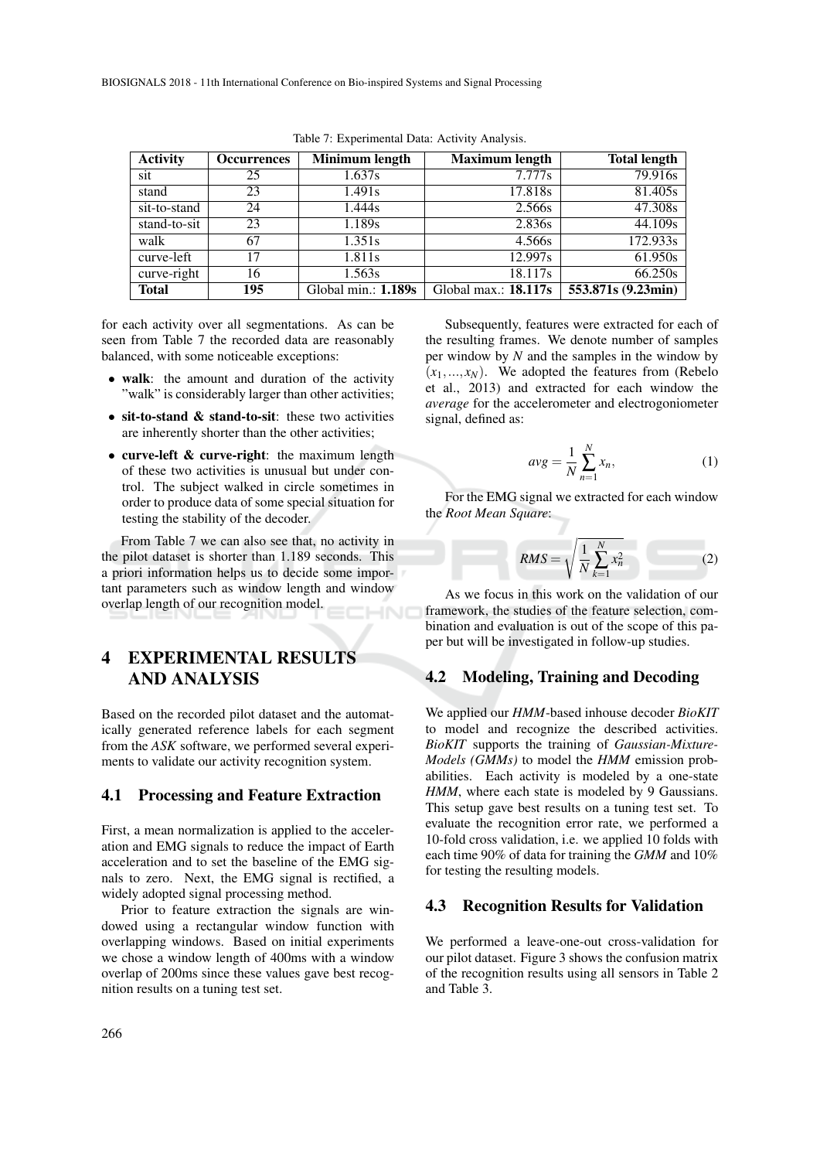| <b>Activity</b> | <b>Occurrences</b> | Minimum length        | <b>Maximum length</b>  | <b>Total length</b> |
|-----------------|--------------------|-----------------------|------------------------|---------------------|
| sit             | 25                 | 1.637s                | 7.777s                 | 79.916s             |
| stand           | 23                 | 1.491s                | 17.818s                | 81.405s             |
| sit-to-stand    | 24                 | 1.444s                | 2.566s                 | 47.308s             |
| stand-to-sit    | 23                 | 1.189s                | 2.836s                 | 44.109s             |
| walk            | 67                 | 1.351s                | 4.566s                 | 172.933s            |
| curve-left      | 17                 | 1.811s                | 12.997s                | 61.950s             |
| curve-right     | 16                 | 1.563s                | 18.117s                | 66.250s             |
| <b>Total</b>    | 195                | Global min.: $1.189s$ | Global max.: $18.117s$ | 553.871s (9.23min)  |

Table 7: Experimental Data: Activity Analysis.

for each activity over all segmentations. As can be seen from Table 7 the recorded data are reasonably balanced, with some noticeable exceptions:

- walk: the amount and duration of the activity "walk" is considerably larger than other activities;
- sit-to-stand & stand-to-sit: these two activities are inherently shorter than the other activities;
- curve-left & curve-right: the maximum length of these two activities is unusual but under control. The subject walked in circle sometimes in order to produce data of some special situation for testing the stability of the decoder.

From Table 7 we can also see that, no activity in the pilot dataset is shorter than 1.189 seconds. This a priori information helps us to decide some important parameters such as window length and window overlap length of our recognition model.

# 4 EXPERIMENTAL RESULTS AND ANALYSIS

Based on the recorded pilot dataset and the automatically generated reference labels for each segment from the *ASK* software, we performed several experiments to validate our activity recognition system.

### 4.1 Processing and Feature Extraction

First, a mean normalization is applied to the acceleration and EMG signals to reduce the impact of Earth acceleration and to set the baseline of the EMG signals to zero. Next, the EMG signal is rectified, a widely adopted signal processing method.

Prior to feature extraction the signals are windowed using a rectangular window function with overlapping windows. Based on initial experiments we chose a window length of 400ms with a window overlap of 200ms since these values gave best recognition results on a tuning test set.

Subsequently, features were extracted for each of the resulting frames. We denote number of samples per window by *N* and the samples in the window by  $(x_1,...,x_N)$ . We adopted the features from (Rebelo et al., 2013) and extracted for each window the *average* for the accelerometer and electrogoniometer signal, defined as:

$$
avg = \frac{1}{N} \sum_{n=1}^{N} x_n,
$$
\n(1)

For the EMG signal we extracted for each window the *Root Mean Square*:

$$
RMS = \sqrt{\frac{1}{N} \sum_{k=1}^{N} x_n^2}
$$
 (2)

As we focus in this work on the validation of our framework, the studies of the feature selection, combination and evaluation is out of the scope of this paper but will be investigated in follow-up studies.

## 4.2 Modeling, Training and Decoding

We applied our *HMM*-based inhouse decoder *BioKIT* to model and recognize the described activities. *BioKIT* supports the training of *Gaussian-Mixture-Models (GMMs)* to model the *HMM* emission probabilities. Each activity is modeled by a one-state HMM, where each state is modeled by 9 Gaussians. This setup gave best results on a tuning test set. To evaluate the recognition error rate, we performed a 10-fold cross validation, i.e. we applied 10 folds with each time 90% of data for training the *GMM* and 10% for testing the resulting models.

## 4.3 Recognition Results for Validation

We performed a leave-one-out cross-validation for our pilot dataset. Figure 3 shows the confusion matrix of the recognition results using all sensors in Table 2 and Table 3.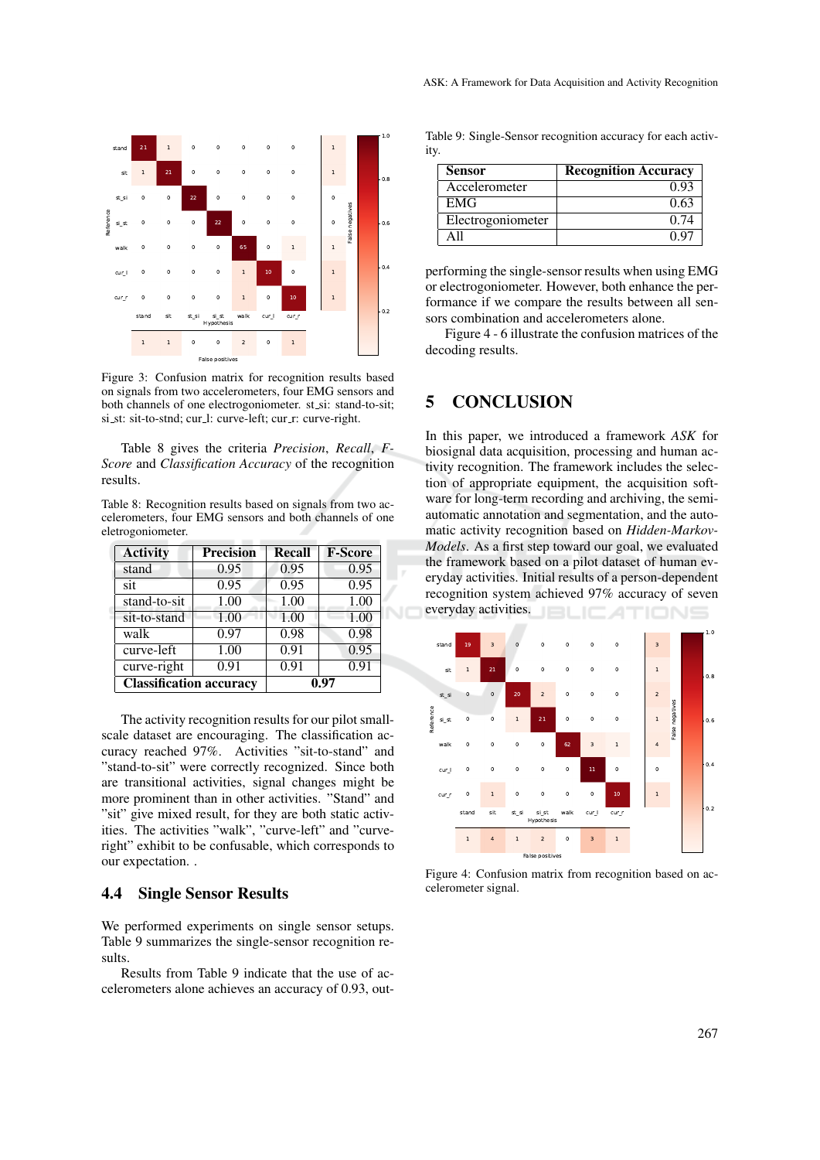

Figure 3: Confusion matrix for recognition results based on signals from two accelerometers, four EMG sensors and both channels of one electrogoniometer. st\_si: stand-to-sit; si\_st: sit-to-stnd; cur\_l: curve-left; cur\_r: curve-right.

Table 8 gives the criteria *Precision*, *Recall*, *F-Score* and *Classification Accuracy* of the recognition results.

Table 8: Recognition results based on signals from two accelerometers, four EMG sensors and both channels of one eletrogoniometer.

| <b>Activity</b>                | <b>Precision</b> | <b>Recall</b> | <b>F-Score</b> |
|--------------------------------|------------------|---------------|----------------|
| stand                          | 0.95             | 0.95          | 0.95           |
| sit                            | 0.95             | 0.95          | 0.95           |
| stand-to-sit                   | 1.00             | 1.00          | 1.00           |
| sit-to-stand                   | 1.00             | 1.00          | 1.00           |
| walk                           | 0.97             | 0.98          | 0.98           |
| curve-left                     | 1.00             | 0.91          | 0.95           |
| curve-right                    | 0.91             | 0.91          | 0.91           |
| <b>Classification accuracy</b> |                  |               | 0.97           |

The activity recognition results for our pilot smallscale dataset are encouraging. The classification accuracy reached 97%. Activities "sit-to-stand" and "stand-to-sit" were correctly recognized. Since both are transitional activities, signal changes might be more prominent than in other activities. "Stand" and "sit" give mixed result, for they are both static activities. The activities "walk", "curve-left" and "curveright" exhibit to be confusable, which corresponds to our expectation. .

## 4.4 Single Sensor Results

We performed experiments on single sensor setups. Table 9 summarizes the single-sensor recognition results.

Results from Table 9 indicate that the use of accelerometers alone achieves an accuracy of 0.93, out-

Table 9: Single-Sensor recognition accuracy for each activity.

| <b>Sensor</b>     | <b>Recognition Accuracy</b> |
|-------------------|-----------------------------|
| Accelerometer     | 0.93                        |
| <b>EMG</b>        | 0.63                        |
| Electrogoniometer | () 74                       |
|                   |                             |

performing the single-sensor results when using EMG or electrogoniometer. However, both enhance the performance if we compare the results between all sensors combination and accelerometers alone.

Figure 4 - 6 illustrate the confusion matrices of the decoding results.

# 5 CONCLUSION

In this paper, we introduced a framework *ASK* for biosignal data acquisition, processing and human activity recognition. The framework includes the selection of appropriate equipment, the acquisition software for long-term recording and archiving, the semiautomatic annotation and segmentation, and the automatic activity recognition based on *Hidden-Markov-Models*. As a first step toward our goal, we evaluated the framework based on a pilot dataset of human everyday activities. Initial results of a person-dependent recognition system achieved 97% accuracy of seven everyday activities.



Figure 4: Confusion matrix from recognition based on accelerometer signal.